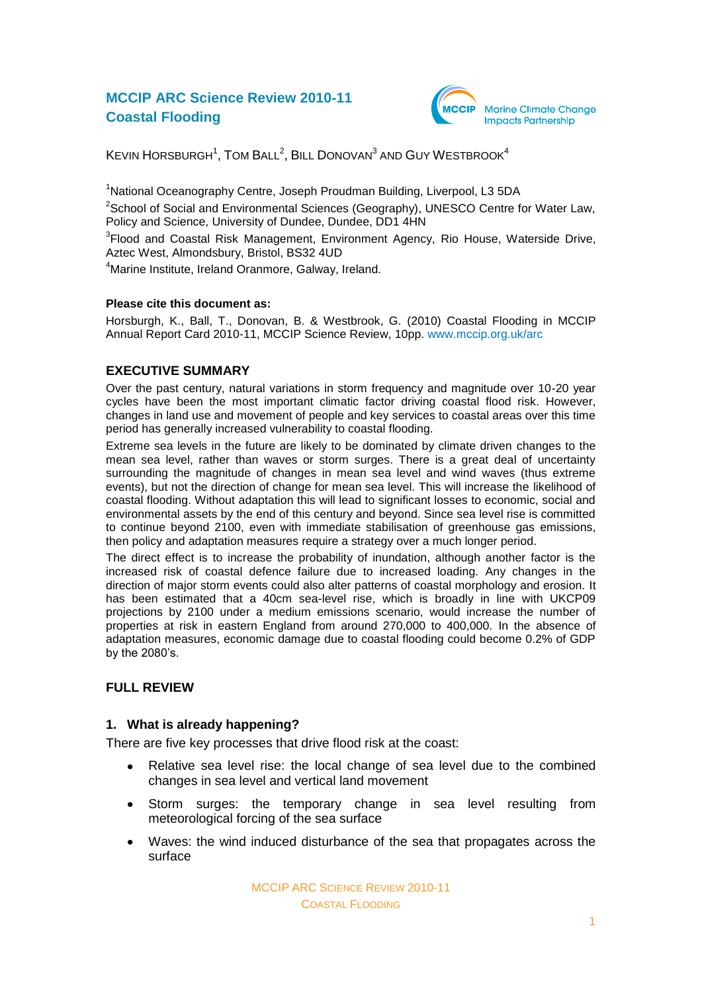# **MCCIP ARC Science Review 2010-11 Coastal Flooding**



KEVIN HORSBURGH<sup>1</sup>, TOM BALL<sup>2</sup>, BILL DONOVAN $^3$  AND GUY WESTBROOK $^4$ 

<sup>1</sup>National Oceanography Centre, Joseph Proudman Building, Liverpool, L3 5DA  $2$ School of Social and Environmental Sciences (Geography), UNESCO Centre for Water Law, Policy and Science, University of Dundee, Dundee, DD1 4HN

<sup>3</sup>Flood and Coastal Risk Management, Environment Agency, Rio House, Waterside Drive, Aztec West, Almondsbury, Bristol, BS32 4UD

<sup>4</sup>Marine Institute, Ireland Oranmore, Galway, Ireland.

## **Please cite this document as:**

Horsburgh, K., Ball, T., Donovan, B. & Westbrook, G. (2010) Coastal Flooding in MCCIP Annual Report Card 2010-11, MCCIP Science Review, 10pp. [www.mccip.org.uk/arc](http://www.mccip.org.uk/arc)

## **EXECUTIVE SUMMARY**

Over the past century, natural variations in storm frequency and magnitude over 10-20 year cycles have been the most important climatic factor driving coastal flood risk. However, changes in land use and movement of people and key services to coastal areas over this time period has generally increased vulnerability to coastal flooding.

Extreme sea levels in the future are likely to be dominated by climate driven changes to the mean sea level, rather than waves or storm surges. There is a great deal of uncertainty surrounding the magnitude of changes in mean sea level and wind waves (thus extreme events), but not the direction of change for mean sea level. This will increase the likelihood of coastal flooding. Without adaptation this will lead to significant losses to economic, social and environmental assets by the end of this century and beyond. Since sea level rise is committed to continue beyond 2100, even with immediate stabilisation of greenhouse gas emissions, then policy and adaptation measures require a strategy over a much longer period.

The direct effect is to increase the probability of inundation, although another factor is the increased risk of coastal defence failure due to increased loading. Any changes in the direction of major storm events could also alter patterns of coastal morphology and erosion. It has been estimated that a 40cm sea-level rise, which is broadly in line with UKCP09 projections by 2100 under a medium emissions scenario, would increase the number of properties at risk in eastern England from around 270,000 to 400,000. In the absence of adaptation measures, economic damage due to coastal flooding could become 0.2% of GDP by the 2080"s.

## **FULL REVIEW**

#### **1. What is already happening?**

There are five key processes that drive flood risk at the coast:

- Relative sea level rise: the local change of sea level due to the combined  $\bullet$ changes in sea level and vertical land movement
- $\bullet$ Storm surges: the temporary change in sea level resulting from meteorological forcing of the sea surface
- $\bullet$ Waves: the wind induced disturbance of the sea that propagates across the surface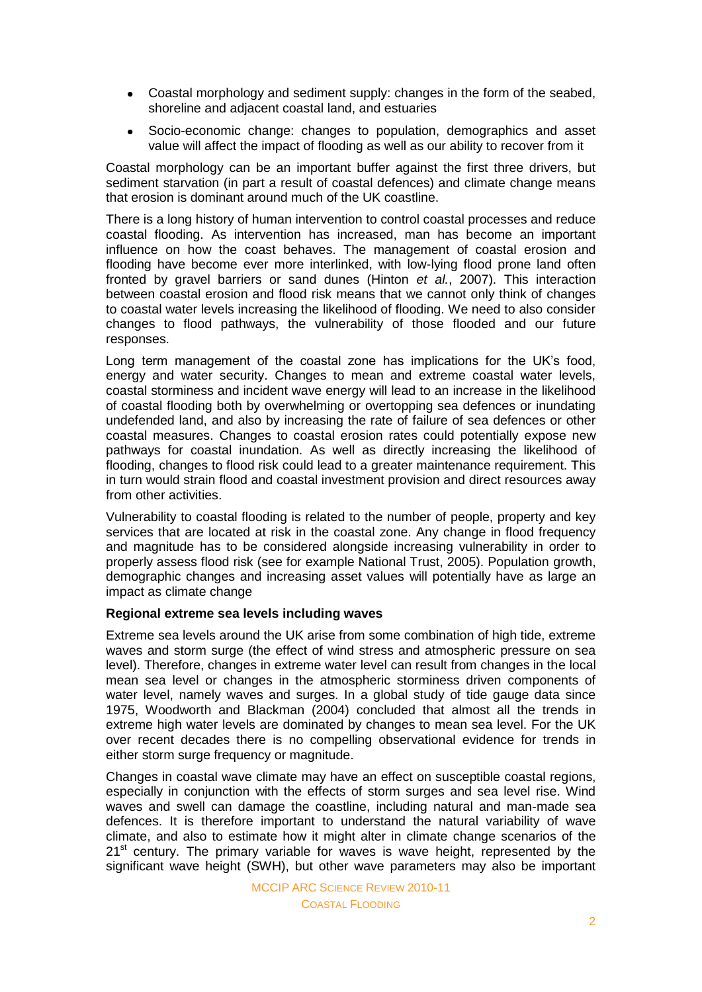- $\bullet$ Coastal morphology and sediment supply: changes in the form of the seabed, shoreline and adjacent coastal land, and estuaries
- Socio-economic change: changes to population, demographics and asset  $\bullet$ value will affect the impact of flooding as well as our ability to recover from it

Coastal morphology can be an important buffer against the first three drivers, but sediment starvation (in part a result of coastal defences) and climate change means that erosion is dominant around much of the UK coastline.

There is a long history of human intervention to control coastal processes and reduce coastal flooding. As intervention has increased, man has become an important influence on how the coast behaves. The management of coastal erosion and flooding have become ever more interlinked, with low-lying flood prone land often fronted by gravel barriers or sand dunes (Hinton *et al.*, 2007). This interaction between coastal erosion and flood risk means that we cannot only think of changes to coastal water levels increasing the likelihood of flooding. We need to also consider changes to flood pathways, the vulnerability of those flooded and our future responses.

Long term management of the coastal zone has implications for the UK"s food, energy and water security. Changes to mean and extreme coastal water levels, coastal storminess and incident wave energy will lead to an increase in the likelihood of coastal flooding both by overwhelming or overtopping sea defences or inundating undefended land, and also by increasing the rate of failure of sea defences or other coastal measures. Changes to coastal erosion rates could potentially expose new pathways for coastal inundation. As well as directly increasing the likelihood of flooding, changes to flood risk could lead to a greater maintenance requirement. This in turn would strain flood and coastal investment provision and direct resources away from other activities.

Vulnerability to coastal flooding is related to the number of people, property and key services that are located at risk in the coastal zone. Any change in flood frequency and magnitude has to be considered alongside increasing vulnerability in order to properly assess flood risk (see for example National Trust, 2005). Population growth, demographic changes and increasing asset values will potentially have as large an impact as climate change

## **Regional extreme sea levels including waves**

Extreme sea levels around the UK arise from some combination of high tide, extreme waves and storm surge (the effect of wind stress and atmospheric pressure on sea level). Therefore, changes in extreme water level can result from changes in the local mean sea level or changes in the atmospheric storminess driven components of water level, namely waves and surges. In a global study of tide gauge data since 1975, Woodworth and Blackman (2004) concluded that almost all the trends in extreme high water levels are dominated by changes to mean sea level. For the UK over recent decades there is no compelling observational evidence for trends in either storm surge frequency or magnitude.

Changes in coastal wave climate may have an effect on susceptible coastal regions, especially in conjunction with the effects of storm surges and sea level rise. Wind waves and swell can damage the coastline, including natural and man-made sea defences. It is therefore important to understand the natural variability of wave climate, and also to estimate how it might alter in climate change scenarios of the  $21<sup>st</sup>$  century. The primary variable for waves is wave height, represented by the significant wave height (SWH), but other wave parameters may also be important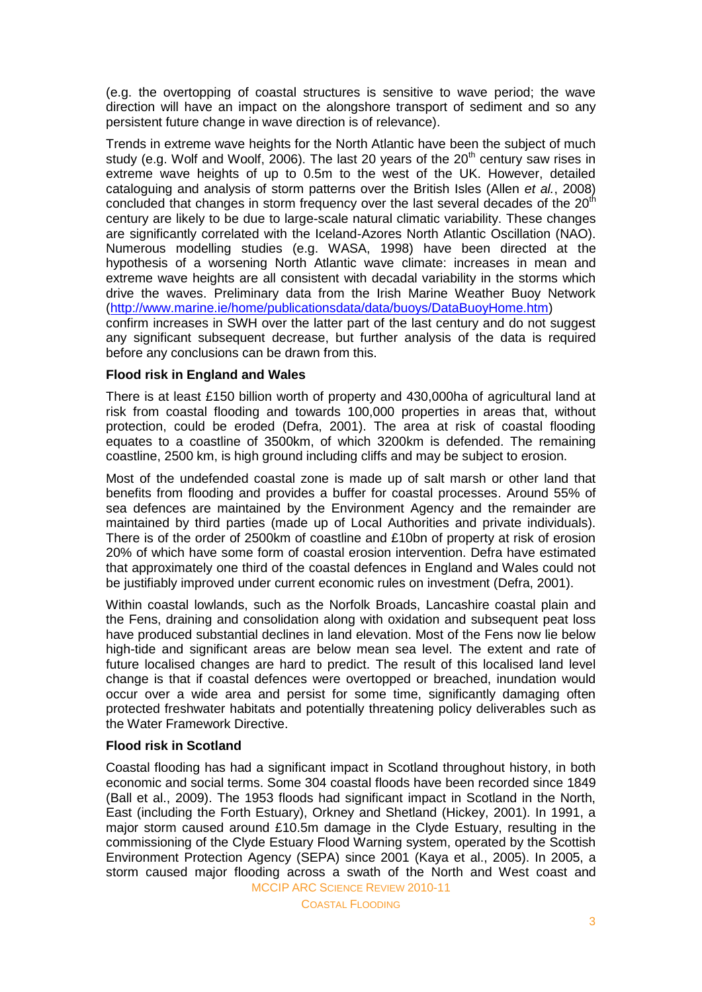(e.g. the overtopping of coastal structures is sensitive to wave period; the wave direction will have an impact on the alongshore transport of sediment and so any persistent future change in wave direction is of relevance).

Trends in extreme wave heights for the North Atlantic have been the subject of much study (e.g. Wolf and Woolf, 2006). The last 20 years of the  $20<sup>th</sup>$  century saw rises in extreme wave heights of up to 0.5m to the west of the UK. However, detailed cataloguing and analysis of storm patterns over the British Isles (Allen *et al.*, 2008) concluded that changes in storm frequency over the last several decades of the  $20<sup>th</sup>$ century are likely to be due to large-scale natural climatic variability. These changes are significantly correlated with the Iceland-Azores North Atlantic Oscillation (NAO). Numerous modelling studies (e.g. WASA, 1998) have been directed at the hypothesis of a worsening North Atlantic wave climate: increases in mean and extreme wave heights are all consistent with decadal variability in the storms which drive the waves. Preliminary data from the Irish Marine Weather Buoy Network [\(http://www.marine.ie/home/publicationsdata/data/buoys/DataBuoyHome.htm\)](http://www.marine.ie/home/publicationsdata/data/buoys/DataBuoyHome.htm) confirm increases in SWH over the latter part of the last century and do not suggest any significant subsequent decrease, but further analysis of the data is required before any conclusions can be drawn from this.

## **Flood risk in England and Wales**

There is at least £150 billion worth of property and 430,000ha of agricultural land at risk from coastal flooding and towards 100,000 properties in areas that, without protection, could be eroded (Defra, 2001). The area at risk of coastal flooding equates to a coastline of 3500km, of which 3200km is defended. The remaining coastline, 2500 km, is high ground including cliffs and may be subject to erosion.

Most of the undefended coastal zone is made up of salt marsh or other land that benefits from flooding and provides a buffer for coastal processes. Around 55% of sea defences are maintained by the Environment Agency and the remainder are maintained by third parties (made up of Local Authorities and private individuals). There is of the order of 2500km of coastline and  $£10$ bn of property at risk of erosion 20% of which have some form of coastal erosion intervention. Defra have estimated that approximately one third of the coastal defences in England and Wales could not be justifiably improved under current economic rules on investment (Defra, 2001).

Within coastal lowlands, such as the Norfolk Broads, Lancashire coastal plain and the Fens, draining and consolidation along with oxidation and subsequent peat loss have produced substantial declines in land elevation. Most of the Fens now lie below high-tide and significant areas are below mean sea level. The extent and rate of future localised changes are hard to predict. The result of this localised land level change is that if coastal defences were overtopped or breached, inundation would occur over a wide area and persist for some time, significantly damaging often protected freshwater habitats and potentially threatening policy deliverables such as the Water Framework Directive.

## **Flood risk in Scotland**

MCCIP ARC SCIENCE REVIEW 2010-11 Coastal flooding has had a significant impact in Scotland throughout history, in both economic and social terms. Some 304 coastal floods have been recorded since 1849 (Ball et al., 2009). The 1953 floods had significant impact in Scotland in the North, East (including the Forth Estuary), Orkney and Shetland (Hickey, 2001). In 1991, a major storm caused around £10.5m damage in the Clyde Estuary, resulting in the commissioning of the Clyde Estuary Flood Warning system, operated by the Scottish Environment Protection Agency (SEPA) since 2001 (Kaya et al., 2005). In 2005, a storm caused major flooding across a swath of the North and West coast and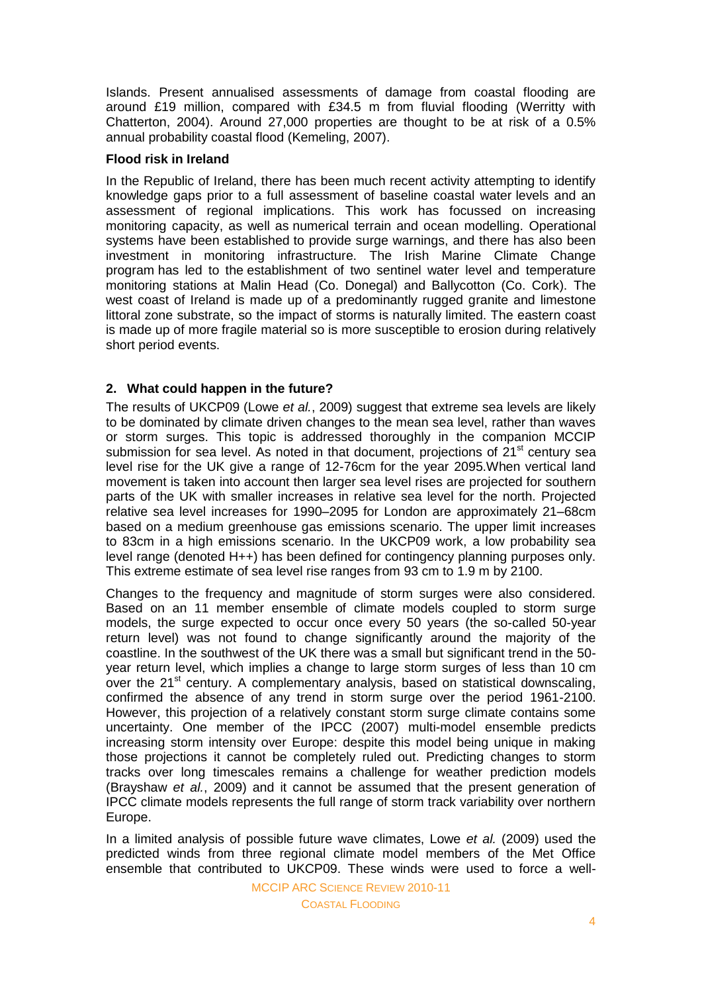Islands. Present annualised assessments of damage from coastal flooding are around £19 million, compared with £34.5 m from fluvial flooding (Werritty with Chatterton, 2004). Around 27,000 properties are thought to be at risk of a 0.5% annual probability coastal flood (Kemeling, 2007).

#### **Flood risk in Ireland**

In the Republic of Ireland, there has been much recent activity attempting to identify knowledge gaps prior to a full assessment of baseline coastal water levels and an assessment of regional implications. This work has focussed on increasing monitoring capacity, as well as numerical terrain and ocean modelling. Operational systems have been established to provide surge warnings, and there has also been investment in monitoring infrastructure. The Irish Marine Climate Change program has led to the establishment of two sentinel water level and temperature monitoring stations at Malin Head (Co. Donegal) and Ballycotton (Co. Cork). The west coast of Ireland is made up of a predominantly rugged granite and limestone littoral zone substrate, so the impact of storms is naturally limited. The eastern coast is made up of more fragile material so is more susceptible to erosion during relatively short period events.

## **2. What could happen in the future?**

The results of UKCP09 (Lowe *et al.*, 2009) suggest that extreme sea levels are likely to be dominated by climate driven changes to the mean sea level, rather than waves or storm surges. This topic is addressed thoroughly in the companion MCCIP submission for sea level. As noted in that document, projections of  $21<sup>st</sup>$  century sea level rise for the UK give a range of 12-76cm for the year 2095.When vertical land movement is taken into account then larger sea level rises are projected for southern parts of the UK with smaller increases in relative sea level for the north. Projected relative sea level increases for 1990–2095 for London are approximately 21–68cm based on a medium greenhouse gas emissions scenario. The upper limit increases to 83cm in a high emissions scenario. In the UKCP09 work, a low probability sea level range (denoted H++) has been defined for contingency planning purposes only. This extreme estimate of sea level rise ranges from 93 cm to 1.9 m by 2100.

Changes to the frequency and magnitude of storm surges were also considered. Based on an 11 member ensemble of climate models coupled to storm surge models, the surge expected to occur once every 50 years (the so-called 50-year return level) was not found to change significantly around the majority of the coastline. In the southwest of the UK there was a small but significant trend in the 50 year return level, which implies a change to large storm surges of less than 10 cm over the 21<sup>st</sup> century. A complementary analysis, based on statistical downscaling, confirmed the absence of any trend in storm surge over the period 1961-2100. However, this projection of a relatively constant storm surge climate contains some uncertainty. One member of the IPCC (2007) multi-model ensemble predicts increasing storm intensity over Europe: despite this model being unique in making those projections it cannot be completely ruled out. Predicting changes to storm tracks over long timescales remains a challenge for weather prediction models (Brayshaw *et al.*, 2009) and it cannot be assumed that the present generation of IPCC climate models represents the full range of storm track variability over northern Europe.

In a limited analysis of possible future wave climates, Lowe *et al.* (2009) used the predicted winds from three regional climate model members of the Met Office ensemble that contributed to UKCP09. These winds were used to force a well-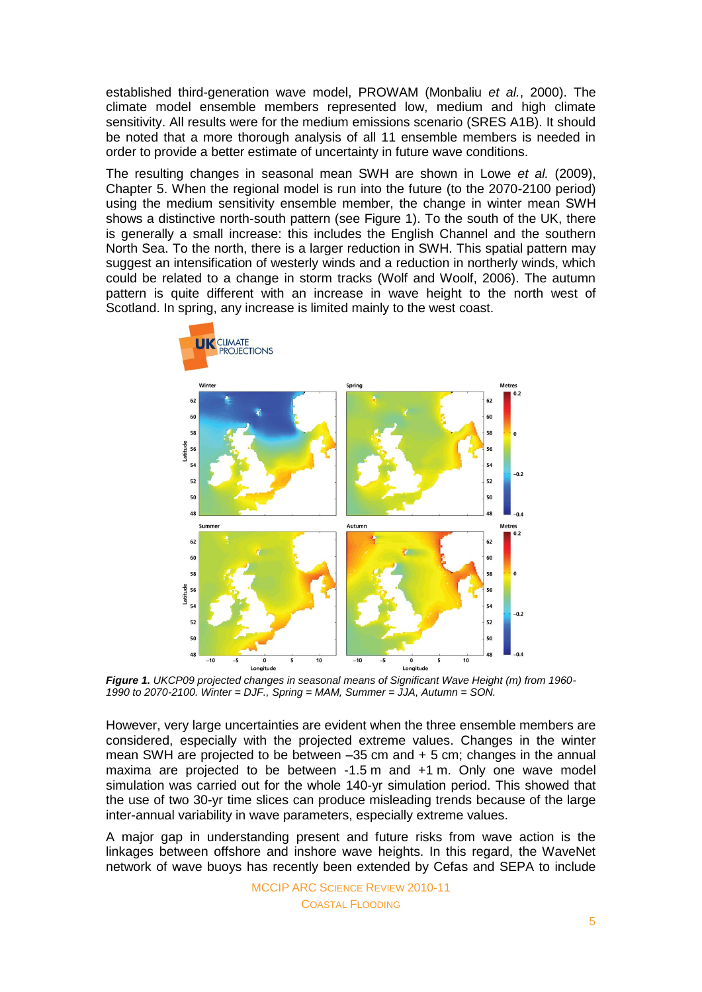established third-generation wave model, PROWAM (Monbaliu *et al.*, 2000). The climate model ensemble members represented low, medium and high climate sensitivity. All results were for the medium emissions scenario (SRES A1B). It should be noted that a more thorough analysis of all 11 ensemble members is needed in order to provide a better estimate of uncertainty in future wave conditions.

The resulting changes in seasonal mean SWH are shown in Lowe *et al.* (2009), Chapter 5. When the regional model is run into the future (to the 2070-2100 period) using the medium sensitivity ensemble member, the change in winter mean SWH shows a distinctive north-south pattern (see Figure 1). To the south of the UK, there is generally a small increase: this includes the English Channel and the southern North Sea. To the north, there is a larger reduction in SWH. This spatial pattern may suggest an intensification of westerly winds and a reduction in northerly winds, which could be related to a change in storm tracks (Wolf and Woolf, 2006). The autumn pattern is quite different with an increase in wave height to the north west of Scotland. In spring, any increase is limited mainly to the west coast.



*Figure 1. UKCP09 projected changes in seasonal means of Significant Wave Height (m) from 1960- 1990 to 2070-2100. Winter = DJF., Spring = MAM, Summer = JJA, Autumn = SON.*

However, very large uncertainties are evident when the three ensemble members are considered, especially with the projected extreme values. Changes in the winter mean SWH are projected to be between –35 cm and + 5 cm; changes in the annual maxima are projected to be between -1.5 m and +1 m. Only one wave model simulation was carried out for the whole 140-yr simulation period. This showed that the use of two 30-yr time slices can produce misleading trends because of the large inter-annual variability in wave parameters, especially extreme values.

A major gap in understanding present and future risks from wave action is the linkages between offshore and inshore wave heights. In this regard, the WaveNet network of wave buoys has recently been extended by Cefas and SEPA to include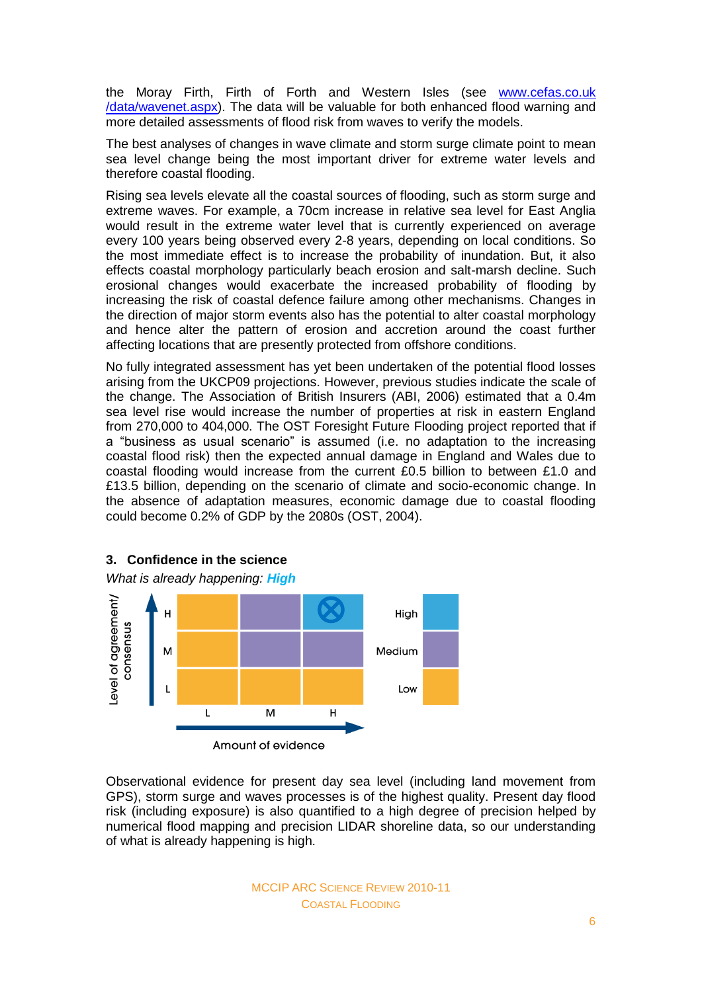the Moray Firth, Firth of Forth and Western Isles (see [www.cefas.co.uk](http://www.cefas.co.uk/data/wavenet.aspx) [/data/wavenet.aspx\)](http://www.cefas.co.uk/data/wavenet.aspx). The data will be valuable for both enhanced flood warning and more detailed assessments of flood risk from waves to verify the models.

The best analyses of changes in wave climate and storm surge climate point to mean sea level change being the most important driver for extreme water levels and therefore coastal flooding.

Rising sea levels elevate all the coastal sources of flooding, such as storm surge and extreme waves. For example, a 70cm increase in relative sea level for East Anglia would result in the extreme water level that is currently experienced on average every 100 years being observed every 2-8 years, depending on local conditions. So the most immediate effect is to increase the probability of inundation. But, it also effects coastal morphology particularly beach erosion and salt-marsh decline. Such erosional changes would exacerbate the increased probability of flooding by increasing the risk of coastal defence failure among other mechanisms. Changes in the direction of major storm events also has the potential to alter coastal morphology and hence alter the pattern of erosion and accretion around the coast further affecting locations that are presently protected from offshore conditions.

No fully integrated assessment has yet been undertaken of the potential flood losses arising from the UKCP09 projections. However, previous studies indicate the scale of the change. The Association of British Insurers (ABI, 2006) estimated that a 0.4m sea level rise would increase the number of properties at risk in eastern England from 270,000 to 404,000. The OST Foresight Future Flooding project reported that if a "business as usual scenario" is assumed (i.e. no adaptation to the increasing coastal flood risk) then the expected annual damage in England and Wales due to coastal flooding would increase from the current £0.5 billion to between £1.0 and £13.5 billion, depending on the scenario of climate and socio-economic change. In the absence of adaptation measures, economic damage due to coastal flooding could become 0.2% of GDP by the 2080s (OST, 2004).



Observational evidence for present day sea level (including land movement from GPS), storm surge and waves processes is of the highest quality. Present day flood risk (including exposure) is also quantified to a high degree of precision helped by numerical flood mapping and precision LIDAR shoreline data, so our understanding of what is already happening is high.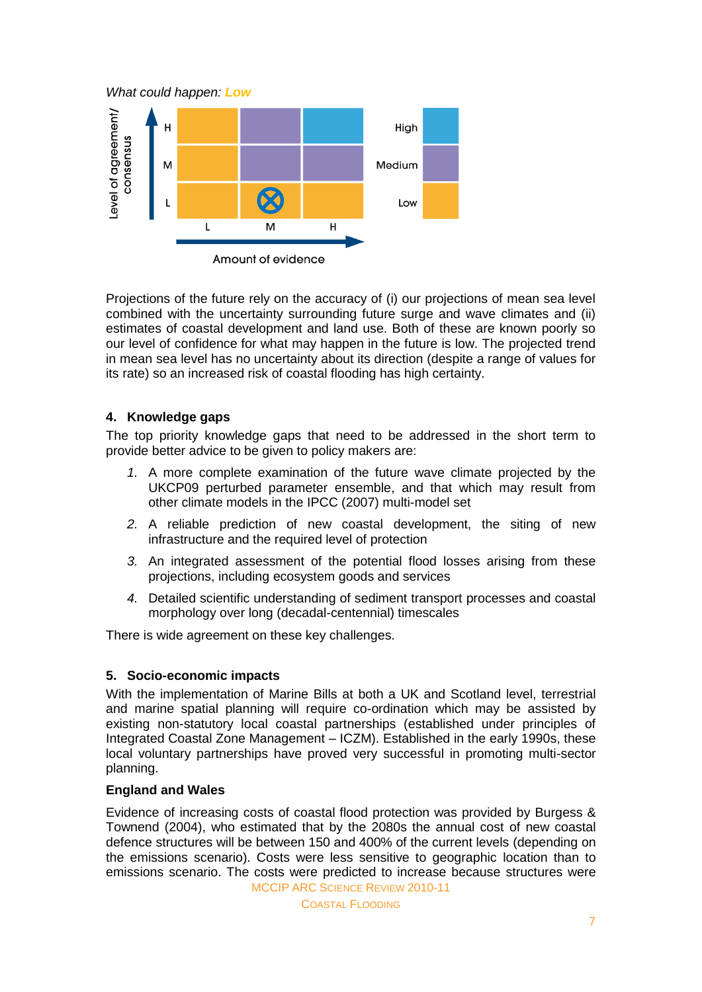*What could happen: Low*



Projections of the future rely on the accuracy of (i) our projections of mean sea level combined with the uncertainty surrounding future surge and wave climates and (ii) estimates of coastal development and land use. Both of these are known poorly so our level of confidence for what may happen in the future is low. The projected trend in mean sea level has no uncertainty about its direction (despite a range of values for its rate) so an increased risk of coastal flooding has high certainty.

## **4. Knowledge gaps**

The top priority knowledge gaps that need to be addressed in the short term to provide better advice to be given to policy makers are:

- *1.* A more complete examination of the future wave climate projected by the UKCP09 perturbed parameter ensemble, and that which may result from other climate models in the IPCC (2007) multi-model set
- *2.* A reliable prediction of new coastal development, the siting of new infrastructure and the required level of protection
- *3.* An integrated assessment of the potential flood losses arising from these projections, including ecosystem goods and services
- *4.* Detailed scientific understanding of sediment transport processes and coastal morphology over long (decadal-centennial) timescales

There is wide agreement on these key challenges.

## **5. Socio-economic impacts**

With the implementation of Marine Bills at both a UK and Scotland level, terrestrial and marine spatial planning will require co-ordination which may be assisted by existing non-statutory local coastal partnerships (established under principles of Integrated Coastal Zone Management – ICZM). Established in the early 1990s, these local voluntary partnerships have proved very successful in promoting multi-sector planning.

#### **England and Wales**

MCCIP ARC SCIENCE REVIEW 2010-11 Evidence of increasing costs of coastal flood protection was provided by Burgess & Townend (2004), who estimated that by the 2080s the annual cost of new coastal defence structures will be between 150 and 400% of the current levels (depending on the emissions scenario). Costs were less sensitive to geographic location than to emissions scenario. The costs were predicted to increase because structures were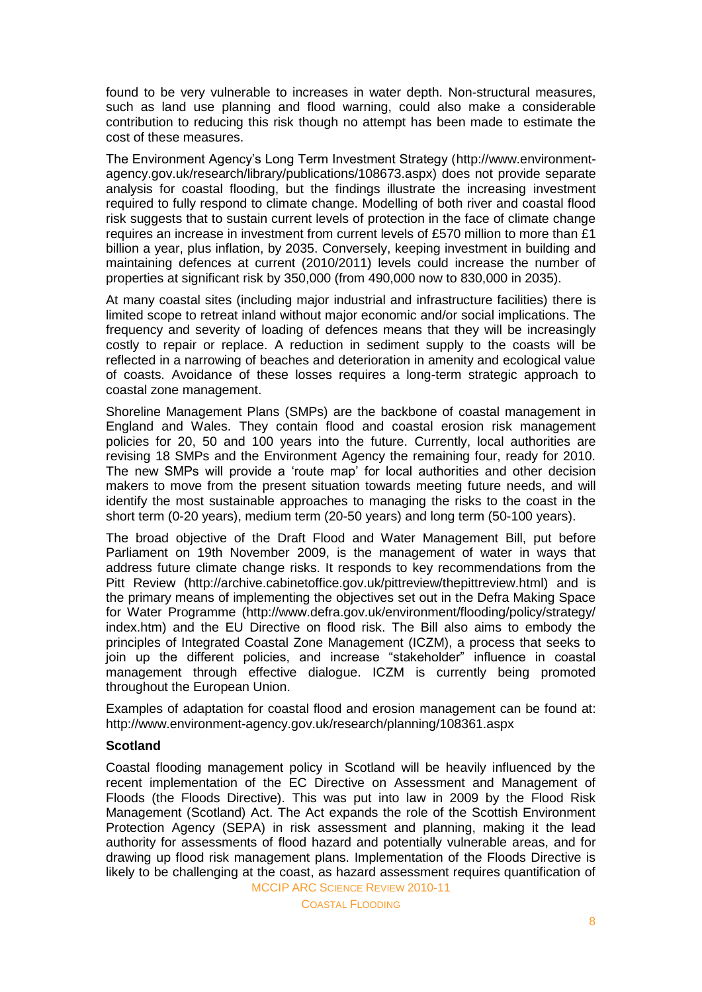found to be very vulnerable to increases in water depth. Non-structural measures, such as land use planning and flood warning, could also make a considerable contribution to reducing this risk though no attempt has been made to estimate the cost of these measures.

The Environment Agency"s Long Term Investment Strategy (http://www.environmentagency.gov.uk/research/library/publications/108673.aspx) does not provide separate analysis for coastal flooding, but the findings illustrate the increasing investment required to fully respond to climate change. Modelling of both river and coastal flood risk suggests that to sustain current levels of protection in the face of climate change requires an increase in investment from current levels of £570 million to more than £1 billion a year, plus inflation, by 2035. Conversely, keeping investment in building and maintaining defences at current (2010/2011) levels could increase the number of properties at significant risk by 350,000 (from 490,000 now to 830,000 in 2035).

At many coastal sites (including major industrial and infrastructure facilities) there is limited scope to retreat inland without major economic and/or social implications. The frequency and severity of loading of defences means that they will be increasingly costly to repair or replace. A reduction in sediment supply to the coasts will be reflected in a narrowing of beaches and deterioration in amenity and ecological value of coasts. Avoidance of these losses requires a long-term strategic approach to coastal zone management.

Shoreline Management Plans (SMPs) are the backbone of coastal management in England and Wales. They contain flood and coastal erosion risk management policies for 20, 50 and 100 years into the future. Currently, local authorities are revising 18 SMPs and the Environment Agency the remaining four, ready for 2010. The new SMPs will provide a "route map" for local authorities and other decision makers to move from the present situation towards meeting future needs, and will identify the most sustainable approaches to managing the risks to the coast in the short term (0-20 years), medium term (20-50 years) and long term (50-100 years).

The broad objective of the Draft Flood and Water Management Bill, put before Parliament on 19th November 2009, is the management of water in ways that address future climate change risks. It responds to key recommendations from the Pitt Review [\(http://archive.cabinetoffice.gov.uk/pittreview/thepittreview.html\)](http://archive.cabinetoffice.gov.uk/pittreview/thepittreview.html) and is the primary means of implementing the objectives set out in the Defra Making Space for Water Programme (http://www.defra.gov.uk/environment/flooding/policy/strategy/ index.htm) and the EU Directive on flood risk. The Bill also aims to embody the principles of Integrated Coastal Zone Management (ICZM), a process that seeks to join up the different policies, and increase "stakeholder" influence in coastal management through effective dialogue. ICZM is currently being promoted throughout the European Union.

Examples of adaptation for coastal flood and erosion management can be found at: <http://www.environment-agency.gov.uk/research/planning/108361.aspx>

#### **Scotland**

MCCIP ARC SCIENCE REVIEW 2010-11 Coastal flooding management policy in Scotland will be heavily influenced by the recent implementation of the EC Directive on Assessment and Management of Floods (the Floods Directive). This was put into law in 2009 by the Flood Risk Management (Scotland) Act. The Act expands the role of the Scottish Environment Protection Agency (SEPA) in risk assessment and planning, making it the lead authority for assessments of flood hazard and potentially vulnerable areas, and for drawing up flood risk management plans. Implementation of the Floods Directive is likely to be challenging at the coast, as hazard assessment requires quantification of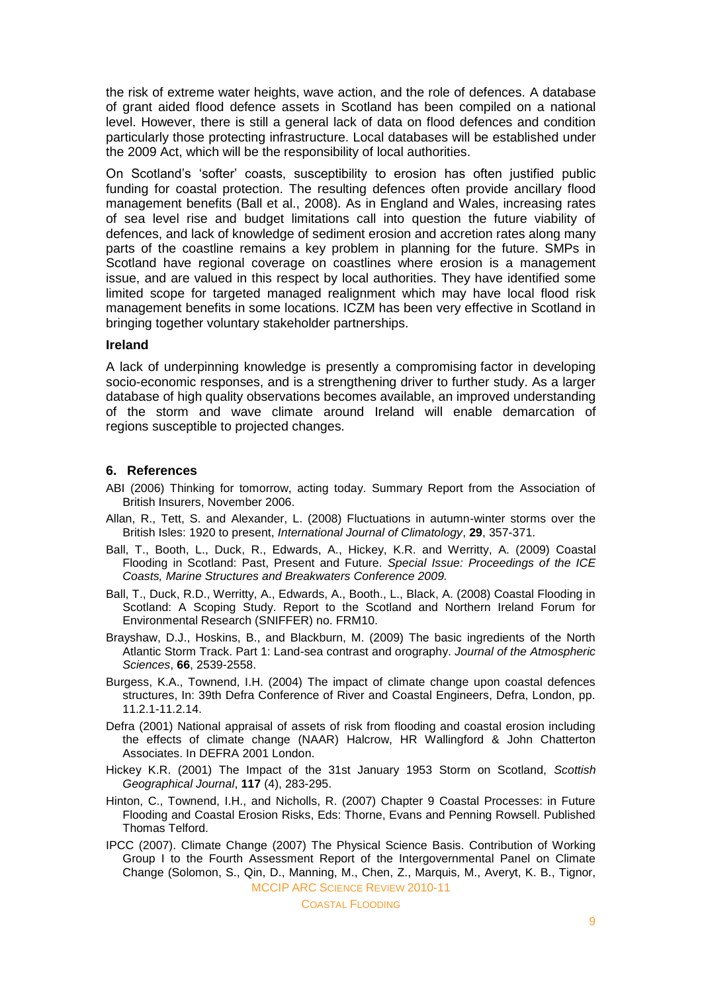the risk of extreme water heights, wave action, and the role of defences. A database of grant aided flood defence assets in Scotland has been compiled on a national level. However, there is still a general lack of data on flood defences and condition particularly those protecting infrastructure. Local databases will be established under the 2009 Act, which will be the responsibility of local authorities.

On Scotland"s "softer" coasts, susceptibility to erosion has often justified public funding for coastal protection. The resulting defences often provide ancillary flood management benefits (Ball et al., 2008). As in England and Wales, increasing rates of sea level rise and budget limitations call into question the future viability of defences, and lack of knowledge of sediment erosion and accretion rates along many parts of the coastline remains a key problem in planning for the future. SMPs in Scotland have regional coverage on coastlines where erosion is a management issue, and are valued in this respect by local authorities. They have identified some limited scope for targeted managed realignment which may have local flood risk management benefits in some locations. ICZM has been very effective in Scotland in bringing together voluntary stakeholder partnerships.

#### **Ireland**

A lack of underpinning knowledge is presently a compromising factor in developing socio-economic responses, and is a strengthening driver to further study. As a larger database of high quality observations becomes available, an improved understanding of the storm and wave climate around Ireland will enable demarcation of regions susceptible to projected changes.

#### **6. References**

- ABI (2006) Thinking for tomorrow, acting today. Summary Report from the Association of British Insurers, November 2006.
- Allan, R., Tett, S. and Alexander, L. (2008) Fluctuations in autumn-winter storms over the British Isles: 1920 to present, *International Journal of Climatology*, **29**, 357-371.
- Ball, T., Booth, L., Duck, R., Edwards, A., Hickey, K.R. and Werritty, A. (2009) Coastal Flooding in Scotland: Past, Present and Future. *Special Issue: Proceedings of the ICE Coasts, Marine Structures and Breakwaters Conference 2009.*
- Ball, T., Duck, R.D., Werritty, A., Edwards, A., Booth., L., Black, A. (2008) Coastal Flooding in Scotland: A Scoping Study. Report to the Scotland and Northern Ireland Forum for Environmental Research (SNIFFER) no. FRM10.
- Brayshaw, D.J., Hoskins, B., and Blackburn, M. (2009) The basic ingredients of the North Atlantic Storm Track. Part 1: Land-sea contrast and orography. *Journal of the Atmospheric Sciences*, **66**, 2539-2558.
- Burgess, K.A., Townend, I.H. (2004) The impact of climate change upon coastal defences structures, In: 39th Defra Conference of River and Coastal Engineers, Defra, London, pp. 11.2.1-11.2.14.
- Defra (2001) National appraisal of assets of risk from flooding and coastal erosion including the effects of climate change (NAAR) Halcrow, HR Wallingford & John Chatterton Associates. In DEFRA 2001 London.
- Hickey K.R. (2001) The Impact of the 31st January 1953 Storm on Scotland, *Scottish Geographical Journal*, **117** (4), 283-295.
- Hinton, C., Townend, I.H., and Nicholls, R. (2007) Chapter 9 Coastal Processes: in Future Flooding and Coastal Erosion Risks, Eds: Thorne, Evans and Penning Rowsell. Published Thomas Telford.
- MCCIP ARC SCIENCE REVIEW 2010-11 IPCC (2007). Climate Change (2007) The Physical Science Basis. Contribution of Working Group I to the Fourth Assessment Report of the Intergovernmental Panel on Climate Change (Solomon, S., Qin, D., Manning, M., Chen, Z., Marquis, M., Averyt, K. B., Tignor,